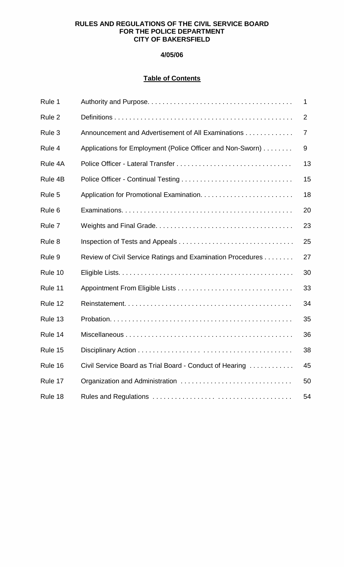# **RULES AND REGULATIONS OF THE CIVIL SERVICE BOARD FOR THE POLICE DEPARTMENT CITY OF BAKERSFIELD**

# **4/05/06**

# **Table of Contents**

| Rule 1            |                                                            | 1  |
|-------------------|------------------------------------------------------------|----|
| Rule 2            |                                                            | 2  |
| Rule 3            | Announcement and Advertisement of All Examinations         | 7  |
| Rule 4            | Applications for Employment (Police Officer and Non-Sworn) | 9  |
| Rule 4A           |                                                            | 13 |
| Rule 4B           |                                                            | 15 |
| Rule 5            |                                                            | 18 |
| Rule <sub>6</sub> |                                                            | 20 |
| Rule 7            |                                                            | 23 |
| Rule 8            |                                                            | 25 |
| Rule 9            | Review of Civil Service Ratings and Examination Procedures | 27 |
| Rule 10           |                                                            | 30 |
| Rule 11           |                                                            | 33 |
| Rule 12           |                                                            | 34 |
| Rule 13           |                                                            | 35 |
| Rule 14           |                                                            | 36 |
| Rule 15           |                                                            | 38 |
| Rule 16           | Civil Service Board as Trial Board - Conduct of Hearing    | 45 |
| Rule 17           |                                                            | 50 |
| Rule 18           |                                                            | 54 |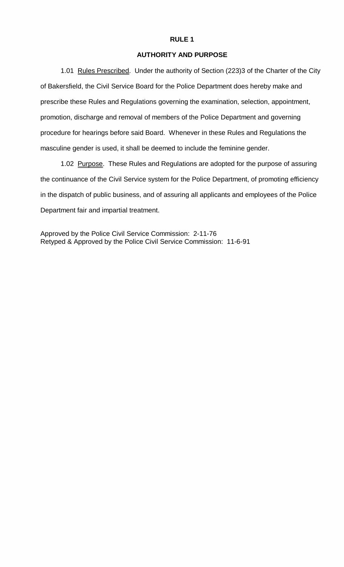#### **AUTHORITY AND PURPOSE**

<span id="page-1-0"></span>1.01 Rules Prescribed. Under the authority of Section (223)3 of the Charter of the City of Bakersfield, the Civil Service Board for the Police Department does hereby make and prescribe these Rules and Regulations governing the examination, selection, appointment, promotion, discharge and removal of members of the Police Department and governing procedure for hearings before said Board. Whenever in these Rules and Regulations the masculine gender is used, it shall be deemed to include the feminine gender.

1.02 Purpose. These Rules and Regulations are adopted for the purpose of assuring the continuance of the Civil Service system for the Police Department, of promoting efficiency in the dispatch of public business, and of assuring all applicants and employees of the Police Department fair and impartial treatment.

Approved by the Police Civil Service Commission: 2-11-76 Retyped & Approved by the Police Civil Service Commission: 11-6-91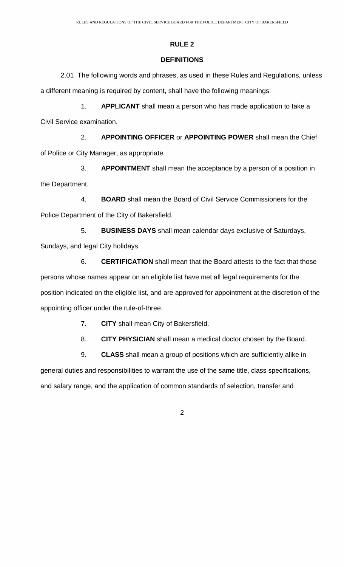### **DEFINITIONS**

<span id="page-2-0"></span>2.01 The following words and phrases, as used in these Rules and Regulations, unless a different meaning is required by content, shall have the following meanings:

 1. **APPLICANT** shall mean a person who has made application to take a Civil Service examination.

 2. **APPOINTING OFFICER** or **APPOINTING POWER** shall mean the Chief of Police or City Manager, as appropriate.

 3. **APPOINTMENT** shall mean the acceptance by a person of a position in the Department.

 4. **BOARD** shall mean the Board of Civil Service Commissioners for the Police Department of the City of Bakersfield.

 5. **BUSINESS DAYS** shall mean calendar days exclusive of Saturdays, Sundays, and legal City holidays.

 6. **CERTIFICATION** shall mean that the Board attests to the fact that those persons whose names appear on an eligible list have met all legal requirements for the position indicated on the eligible list, and are approved for appointment at the discretion of the appointing officer under the rule-of-three.

7. **CITY** shall mean City of Bakersfield.

8. **CITY PHYSICIAN** shall mean a medical doctor chosen by the Board.

9. **CLASS** shall mean a group of positions which are sufficiently alike in

general duties and responsibilities to warrant the use of the same title, class specifications, and salary range, and the application of common standards of selection, transfer and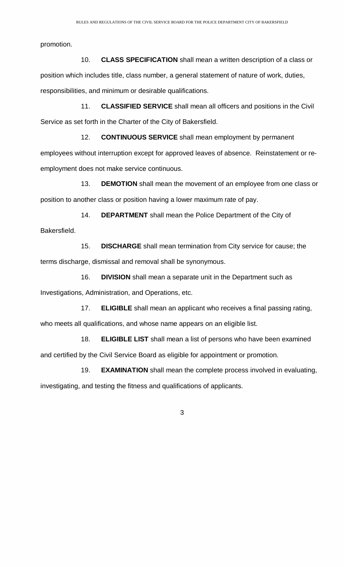promotion.

 10. **CLASS SPECIFICATION** shall mean a written description of a class or position which includes title, class number, a general statement of nature of work, duties, responsibilities, and minimum or desirable qualifications.

 11. **CLASSIFIED SERVICE** shall mean all officers and positions in the Civil Service as set forth in the Charter of the City of Bakersfield.

 12. **CONTINUOUS SERVICE** shall mean employment by permanent employees without interruption except for approved leaves of absence. Reinstatement or reemployment does not make service continuous.

 13. **DEMOTION** shall mean the movement of an employee from one class or position to another class or position having a lower maximum rate of pay.

 14. **DEPARTMENT** shall mean the Police Department of the City of Bakersfield.

 15. **DISCHARGE** shall mean termination from City service for cause; the terms discharge, dismissal and removal shall be synonymous.

 16. **DIVISION** shall mean a separate unit in the Department such as Investigations, Administration, and Operations, etc.

 17. **ELIGIBLE** shall mean an applicant who receives a final passing rating, who meets all qualifications, and whose name appears on an eligible list.

 18. **ELIGIBLE LIST** shall mean a list of persons who have been examined and certified by the Civil Service Board as eligible for appointment or promotion.

 19. **EXAMINATION** shall mean the complete process involved in evaluating, investigating, and testing the fitness and qualifications of applicants.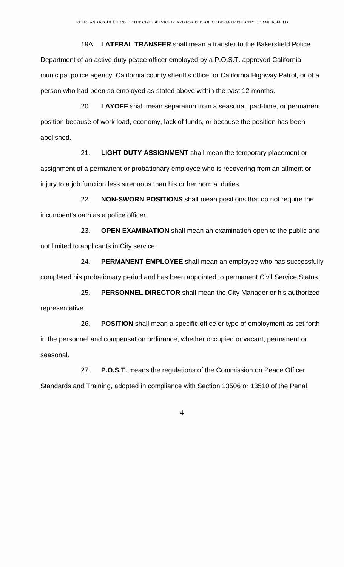19A. **LATERAL TRANSFER** shall mean a transfer to the Bakersfield Police Department of an active duty peace officer employed by a P.O.S.T. approved California municipal police agency, California county sheriff's office, or California Highway Patrol, or of a person who had been so employed as stated above within the past 12 months.

 20. **LAYOFF** shall mean separation from a seasonal, part-time, or permanent position because of work load, economy, lack of funds, or because the position has been abolished.

 21. **LIGHT DUTY ASSIGNMENT** shall mean the temporary placement or assignment of a permanent or probationary employee who is recovering from an ailment or injury to a job function less strenuous than his or her normal duties.

 22. **NON-SWORN POSITIONS** shall mean positions that do not require the incumbent's oath as a police officer.

 23. **OPEN EXAMINATION** shall mean an examination open to the public and not limited to applicants in City service.

 24. **PERMANENT EMPLOYEE** shall mean an employee who has successfully completed his probationary period and has been appointed to permanent Civil Service Status.

 25. **PERSONNEL DIRECTOR** shall mean the City Manager or his authorized representative.

 26. **POSITION** shall mean a specific office or type of employment as set forth in the personnel and compensation ordinance, whether occupied or vacant, permanent or seasonal.

 27. **P.O.S.T.** means the regulations of the Commission on Peace Officer Standards and Training, adopted in compliance with Section 13506 or 13510 of the Penal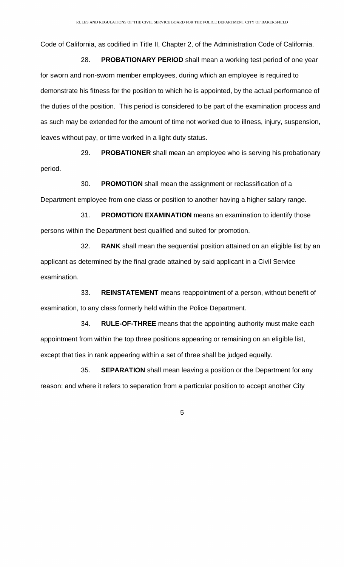Code of California, as codified in Title II, Chapter 2, of the Administration Code of California.

 28. **PROBATIONARY PERIOD** shall mean a working test period of one year for sworn and non-sworn member employees, during which an employee is required to demonstrate his fitness for the position to which he is appointed, by the actual performance of the duties of the position. This period is considered to be part of the examination process and as such may be extended for the amount of time not worked due to illness, injury, suspension, leaves without pay, or time worked in a light duty status.

 29. **PROBATIONER** shall mean an employee who is serving his probationary period.

30. **PROMOTION** shall mean the assignment or reclassification of a

Department employee from one class or position to another having a higher salary range.

 31. **PROMOTION EXAMINATION** means an examination to identify those persons within the Department best qualified and suited for promotion.

 32. **RANK** shall mean the sequential position attained on an eligible list by an applicant as determined by the final grade attained by said applicant in a Civil Service examination.

 33. **REINSTATEMENT** means reappointment of a person, without benefit of examination, to any class formerly held within the Police Department.

 34. **RULE-OF-THREE** means that the appointing authority must make each appointment from within the top three positions appearing or remaining on an eligible list, except that ties in rank appearing within a set of three shall be judged equally.

 35. **SEPARATION** shall mean leaving a position or the Department for any reason; and where it refers to separation from a particular position to accept another City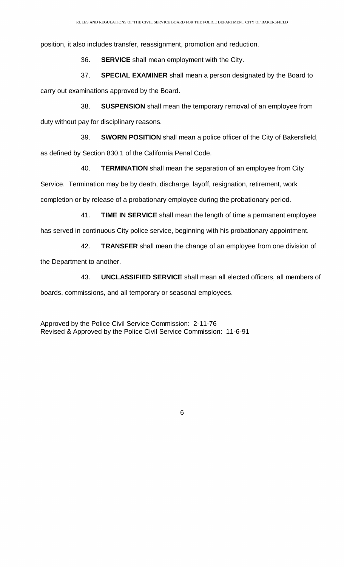position, it also includes transfer, reassignment, promotion and reduction.

36. **SERVICE** shall mean employment with the City.

 37. **SPECIAL EXAMINER** shall mean a person designated by the Board to carry out examinations approved by the Board.

 38. **SUSPENSION** shall mean the temporary removal of an employee from duty without pay for disciplinary reasons.

 39. **SWORN POSITION** shall mean a police officer of the City of Bakersfield, as defined by Section 830.1 of the California Penal Code.

 40. **TERMINATION** shall mean the separation of an employee from City Service. Termination may be by death, discharge, layoff, resignation, retirement, work completion or by release of a probationary employee during the probationary period.

 41. **TIME IN SERVICE** shall mean the length of time a permanent employee has served in continuous City police service, beginning with his probationary appointment.

 42. **TRANSFER** shall mean the change of an employee from one division of the Department to another.

 43. **UNCLASSIFIED SERVICE** shall mean all elected officers, all members of boards, commissions, and all temporary or seasonal employees.

Approved by the Police Civil Service Commission: 2-11-76 Revised & Approved by the Police Civil Service Commission: 11-6-91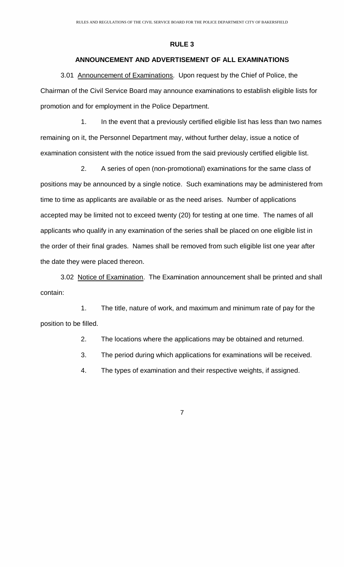# **ANNOUNCEMENT AND ADVERTISEMENT OF ALL EXAMINATIONS**

<span id="page-7-0"></span>3.01 Announcement of Examinations. Upon request by the Chief of Police, the Chairman of the Civil Service Board may announce examinations to establish eligible lists for promotion and for employment in the Police Department.

 1. In the event that a previously certified eligible list has less than two names remaining on it, the Personnel Department may, without further delay, issue a notice of examination consistent with the notice issued from the said previously certified eligible list.

 2. A series of open (non-promotional) examinations for the same class of positions may be announced by a single notice. Such examinations may be administered from time to time as applicants are available or as the need arises. Number of applications accepted may be limited not to exceed twenty (20) for testing at one time. The names of all applicants who qualify in any examination of the series shall be placed on one eligible list in the order of their final grades. Names shall be removed from such eligible list one year after the date they were placed thereon.

3.02 Notice of Examination. The Examination announcement shall be printed and shall contain:

 1. The title, nature of work, and maximum and minimum rate of pay for the position to be filled.

2. The locations where the applications may be obtained and returned.

3. The period during which applications for examinations will be received.

4. The types of examination and their respective weights, if assigned.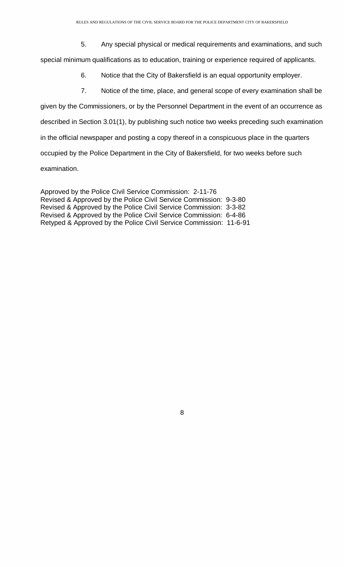5. Any special physical or medical requirements and examinations, and such

special minimum qualifications as to education, training or experience required of applicants.

- 6. Notice that the City of Bakersfield is an equal opportunity employer.
- 7. Notice of the time, place, and general scope of every examination shall be

given by the Commissioners, or by the Personnel Department in the event of an occurrence as described in Section 3.01(1), by publishing such notice two weeks preceding such examination in the official newspaper and posting a copy thereof in a conspicuous place in the quarters occupied by the Police Department in the City of Bakersfield, for two weeks before such examination.

Approved by the Police Civil Service Commission: 2-11-76 Revised & Approved by the Police Civil Service Commission: 9-3-80 Revised & Approved by the Police Civil Service Commission: 3-3-82 Revised & Approved by the Police Civil Service Commission: 6-4-86 Retyped & Approved by the Police Civil Service Commission: 11-6-91

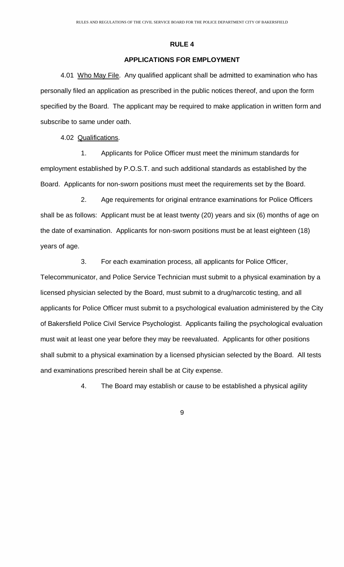# **APPLICATIONS FOR EMPLOYMENT**

<span id="page-9-0"></span>4.01 Who May File. Any qualified applicant shall be admitted to examination who has personally filed an application as prescribed in the public notices thereof, and upon the form specified by the Board. The applicant may be required to make application in written form and subscribe to same under oath.

4.02 Qualifications.

 1. Applicants for Police Officer must meet the minimum standards for employment established by P.O.S.T. and such additional standards as established by the Board. Applicants for non-sworn positions must meet the requirements set by the Board.

 2. Age requirements for original entrance examinations for Police Officers shall be as follows: Applicant must be at least twenty (20) years and six (6) months of age on the date of examination. Applicants for non-sworn positions must be at least eighteen (18) years of age.

3. For each examination process, all applicants for Police Officer,

Telecommunicator, and Police Service Technician must submit to a physical examination by a licensed physician selected by the Board, must submit to a drug/narcotic testing, and all applicants for Police Officer must submit to a psychological evaluation administered by the City of Bakersfield Police Civil Service Psychologist. Applicants failing the psychological evaluation must wait at least one year before they may be reevaluated. Applicants for other positions shall submit to a physical examination by a licensed physician selected by the Board. All tests and examinations prescribed herein shall be at City expense.

4. The Board may establish or cause to be established a physical agility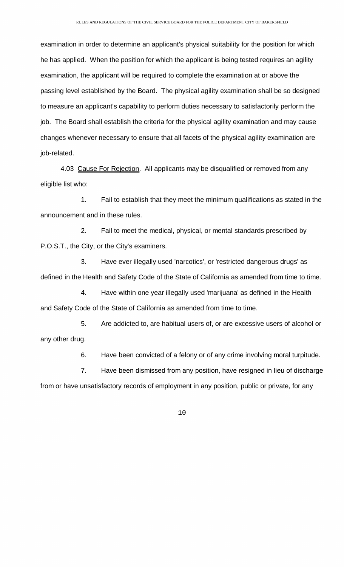examination in order to determine an applicant's physical suitability for the position for which he has applied. When the position for which the applicant is being tested requires an agility examination, the applicant will be required to complete the examination at or above the passing level established by the Board. The physical agility examination shall be so designed to measure an applicant's capability to perform duties necessary to satisfactorily perform the job. The Board shall establish the criteria for the physical agility examination and may cause changes whenever necessary to ensure that all facets of the physical agility examination are job-related.

4.03 Cause For Rejection. All applicants may be disqualified or removed from any eligible list who:

 1. Fail to establish that they meet the minimum qualifications as stated in the announcement and in these rules.

 2. Fail to meet the medical, physical, or mental standards prescribed by P.O.S.T., the City, or the City's examiners.

 3. Have ever illegally used 'narcotics', or 'restricted dangerous drugs' as defined in the Health and Safety Code of the State of California as amended from time to time.

 4. Have within one year illegally used 'marijuana' as defined in the Health and Safety Code of the State of California as amended from time to time.

 5. Are addicted to, are habitual users of, or are excessive users of alcohol or any other drug.

6. Have been convicted of a felony or of any crime involving moral turpitude.

 7. Have been dismissed from any position, have resigned in lieu of discharge from or have unsatisfactory records of employment in any position, public or private, for any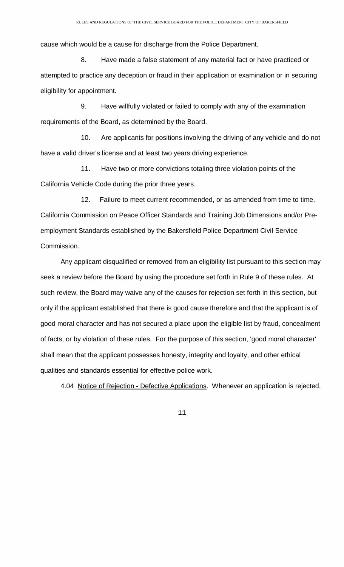cause which would be a cause for discharge from the Police Department.

 8. Have made a false statement of any material fact or have practiced or attempted to practice any deception or fraud in their application or examination or in securing eligibility for appointment.

 9. Have willfully violated or failed to comply with any of the examination requirements of the Board, as determined by the Board.

 10. Are applicants for positions involving the driving of any vehicle and do not have a valid driver's license and at least two years driving experience.

 11. Have two or more convictions totaling three violation points of the California Vehicle Code during the prior three years.

 12. Failure to meet current recommended, or as amended from time to time, California Commission on Peace Officer Standards and Training Job Dimensions and/or Preemployment Standards established by the Bakersfield Police Department Civil Service Commission.

Any applicant disqualified or removed from an eligibility list pursuant to this section may seek a review before the Board by using the procedure set forth in Rule 9 of these rules. At such review, the Board may waive any of the causes for rejection set forth in this section, but only if the applicant established that there is good cause therefore and that the applicant is of good moral character and has not secured a place upon the eligible list by fraud, concealment of facts, or by violation of these rules. For the purpose of this section, 'good moral character' shall mean that the applicant possesses honesty, integrity and loyalty, and other ethical qualities and standards essential for effective police work.

4.04 Notice of Rejection - Defective Applications. Whenever an application is rejected,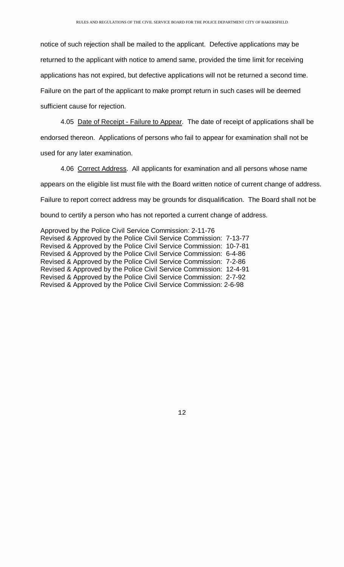notice of such rejection shall be mailed to the applicant. Defective applications may be returned to the applicant with notice to amend same, provided the time limit for receiving applications has not expired, but defective applications will not be returned a second time. Failure on the part of the applicant to make prompt return in such cases will be deemed sufficient cause for rejection.

4.05 Date of Receipt - Failure to Appear. The date of receipt of applications shall be endorsed thereon. Applications of persons who fail to appear for examination shall not be used for any later examination.

 4.06 Correct Address. All applicants for examination and all persons whose name appears on the eligible list must file with the Board written notice of current change of address. Failure to report correct address may be grounds for disqualification. The Board shall not be bound to certify a person who has not reported a current change of address.

Approved by the Police Civil Service Commission: 2-11-76 Revised & Approved by the Police Civil Service Commission: 7-13-77 Revised & Approved by the Police Civil Service Commission: 10-7-81 Revised & Approved by the Police Civil Service Commission: 6-4-86 Revised & Approved by the Police Civil Service Commission: 7-2-86 Revised & Approved by the Police Civil Service Commission: 12-4-91 Revised & Approved by the Police Civil Service Commission: 2-7-92 Revised & Approved by the Police Civil Service Commission: 2-6-98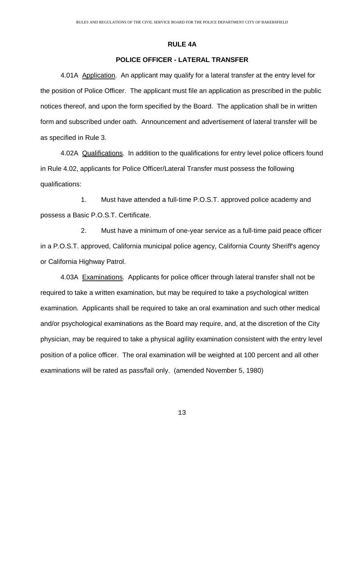### **RULE 4A**

# **POLICE OFFICER - LATERAL TRANSFER**

<span id="page-13-0"></span> 4.01A Application. An applicant may qualify for a lateral transfer at the entry level for the position of Police Officer. The applicant must file an application as prescribed in the public notices thereof, and upon the form specified by the Board. The application shall be in written form and subscribed under oath. Announcement and advertisement of lateral transfer will be as specified in Rule 3.

 4.02A Qualifications. In addition to the qualifications for entry level police officers found in Rule 4.02, applicants for Police Officer/Lateral Transfer must possess the following qualifications:

 1. Must have attended a full-time P.O.S.T. approved police academy and possess a Basic P.O.S.T. Certificate.

 2. Must have a minimum of one-year service as a full-time paid peace officer in a P.O.S.T. approved, California municipal police agency, California County Sheriff's agency or California Highway Patrol.

4.03A Examinations. Applicants for police officer through lateral transfer shall not be required to take a written examination, but may be required to take a psychological written examination. Applicants shall be required to take an oral examination and such other medical and/or psychological examinations as the Board may require, and, at the discretion of the City physician, may be required to take a physical agility examination consistent with the entry level position of a police officer. The oral examination will be weighted at 100 percent and all other examinations will be rated as pass/fail only. (amended November 5, 1980)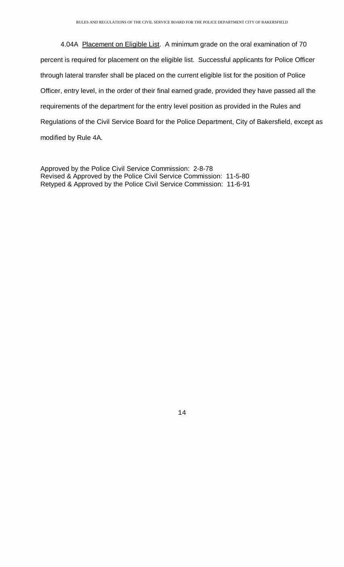4.04A Placement on Eligible List. A minimum grade on the oral examination of 70 percent is required for placement on the eligible list. Successful applicants for Police Officer through lateral transfer shall be placed on the current eligible list for the position of Police Officer, entry level, in the order of their final earned grade, provided they have passed all the requirements of the department for the entry level position as provided in the Rules and Regulations of the Civil Service Board for the Police Department, City of Bakersfield, except as modified by Rule 4A.

Approved by the Police Civil Service Commission: 2-8-78 Revised & Approved by the Police Civil Service Commission: 11-5-80 Retyped & Approved by the Police Civil Service Commission: 11-6-91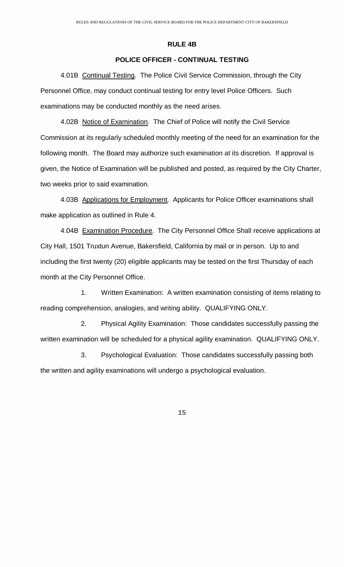### **RULE 4B**

# **POLICE OFFICER - CONTINUAL TESTING**

<span id="page-15-0"></span> 4.01B Continual Testing. The Police Civil Service Commission, through the City Personnel Office, may conduct continual testing for entry level Police Officers. Such examinations may be conducted monthly as the need arises.

4.02B Notice of Examination. The Chief of Police will notify the Civil Service Commission at its regularly scheduled monthly meeting of the need for an examination for the following month. The Board may authorize such examination at its discretion. If approval is given, the Notice of Examination will be published and posted, as required by the City Charter, two weeks prior to said examination.

 4.03B Applications for Employment. Applicants for Police Officer examinations shall make application as outlined in Rule 4.

4.04B Examination Procedure. The City Personnel Office Shall receive applications at City Hall, 1501 Truxtun Avenue, Bakersfield, California by mail or in person. Up to and including the first twenty (20) eligible applicants may be tested on the first Thursday of each month at the City Personnel Office.

 1. Written Examination: A written examination consisting of items relating to reading comprehension, analogies, and writing ability. QUALIFYING ONLY.

 2. Physical Agility Examination: Those candidates successfully passing the written examination will be scheduled for a physical agility examination. QUALIFYING ONLY.

 3. Psychological Evaluation: Those candidates successfully passing both the written and agility examinations will undergo a psychological evaluation.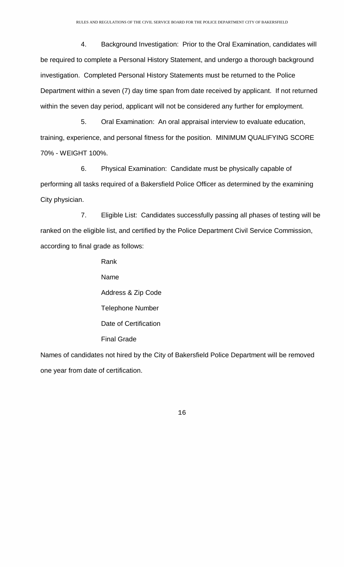4. Background Investigation: Prior to the Oral Examination, candidates will be required to complete a Personal History Statement, and undergo a thorough background investigation. Completed Personal History Statements must be returned to the Police Department within a seven (7) day time span from date received by applicant. If not returned within the seven day period, applicant will not be considered any further for employment.

 5. Oral Examination: An oral appraisal interview to evaluate education, training, experience, and personal fitness for the position. MINIMUM QUALIFYING SCORE 70% - WEIGHT 100%.

 6. Physical Examination: Candidate must be physically capable of performing all tasks required of a Bakersfield Police Officer as determined by the examining City physician.

 7. Eligible List: Candidates successfully passing all phases of testing will be ranked on the eligible list, and certified by the Police Department Civil Service Commission, according to final grade as follows:

> Rank Name Address & Zip Code Telephone Number Date of Certification Final Grade

Names of candidates not hired by the City of Bakersfield Police Department will be removed one year from date of certification.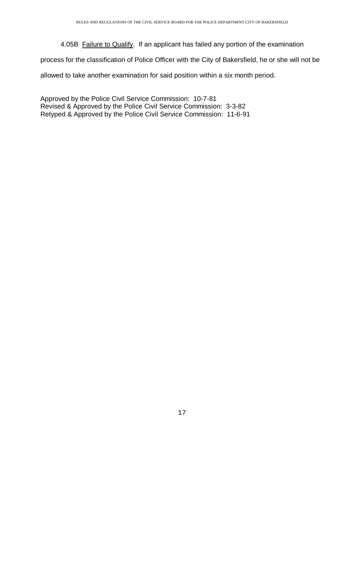4.05B Failure to Qualify. If an applicant has failed any portion of the examination

process for the classification of Police Officer with the City of Bakersfield, he or she will not be

allowed to take another examination for said position within a six month period.

Approved by the Police Civil Service Commission: 10-7-81 Revised & Approved by the Police Civil Service Commission: 3-3-82 Retyped & Approved by the Police Civil Service Commission: 11-6-91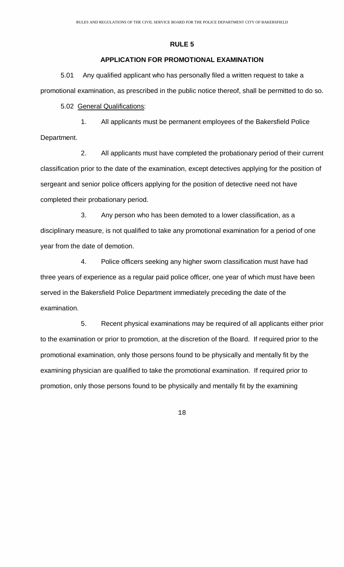# **APPLICATION FOR PROMOTIONAL EXAMINATION**

<span id="page-18-0"></span> 5.01 Any qualified applicant who has personally filed a written request to take a promotional examination, as prescribed in the public notice thereof, shall be permitted to do so.

5.02 General Qualifications:

 1. All applicants must be permanent employees of the Bakersfield Police Department.

 2. All applicants must have completed the probationary period of their current classification prior to the date of the examination, except detectives applying for the position of sergeant and senior police officers applying for the position of detective need not have completed their probationary period.

 3. Any person who has been demoted to a lower classification, as a disciplinary measure, is not qualified to take any promotional examination for a period of one year from the date of demotion.

 4. Police officers seeking any higher sworn classification must have had three years of experience as a regular paid police officer, one year of which must have been served in the Bakersfield Police Department immediately preceding the date of the examination.

 5. Recent physical examinations may be required of all applicants either prior to the examination or prior to promotion, at the discretion of the Board. If required prior to the promotional examination, only those persons found to be physically and mentally fit by the examining physician are qualified to take the promotional examination. If required prior to promotion, only those persons found to be physically and mentally fit by the examining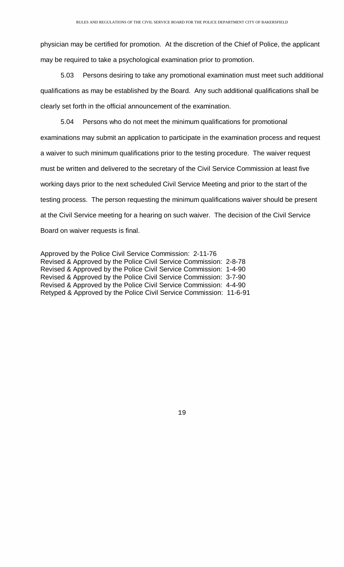physician may be certified for promotion. At the discretion of the Chief of Police, the applicant may be required to take a psychological examination prior to promotion.

 5.03 Persons desiring to take any promotional examination must meet such additional qualifications as may be established by the Board. Any such additional qualifications shall be clearly set forth in the official announcement of the examination.

 5.04 Persons who do not meet the minimum qualifications for promotional examinations may submit an application to participate in the examination process and request a waiver to such minimum qualifications prior to the testing procedure. The waiver request must be written and delivered to the secretary of the Civil Service Commission at least five working days prior to the next scheduled Civil Service Meeting and prior to the start of the testing process. The person requesting the minimum qualifications waiver should be present at the Civil Service meeting for a hearing on such waiver. The decision of the Civil Service Board on waiver requests is final.

Approved by the Police Civil Service Commission: 2-11-76 Revised & Approved by the Police Civil Service Commission: 2-8-78 Revised & Approved by the Police Civil Service Commission: 1-4-90 Revised & Approved by the Police Civil Service Commission: 3-7-90 Revised & Approved by the Police Civil Service Commission: 4-4-90 Retyped & Approved by the Police Civil Service Commission: 11-6-91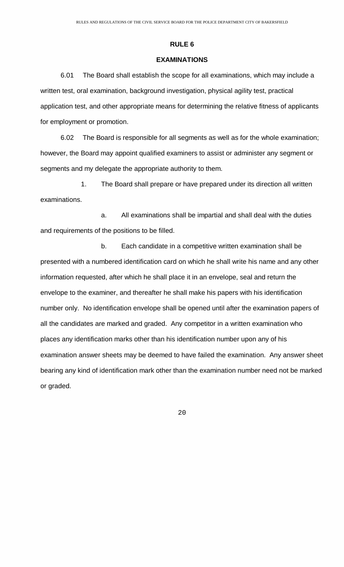### **EXAMINATIONS**

<span id="page-20-0"></span> 6.01 The Board shall establish the scope for all examinations, which may include a written test, oral examination, background investigation, physical agility test, practical application test, and other appropriate means for determining the relative fitness of applicants for employment or promotion.

 6.02 The Board is responsible for all segments as well as for the whole examination; however, the Board may appoint qualified examiners to assist or administer any segment or segments and my delegate the appropriate authority to them.

 1. The Board shall prepare or have prepared under its direction all written examinations.

 a. All examinations shall be impartial and shall deal with the duties and requirements of the positions to be filled.

 b. Each candidate in a competitive written examination shall be presented with a numbered identification card on which he shall write his name and any other information requested, after which he shall place it in an envelope, seal and return the envelope to the examiner, and thereafter he shall make his papers with his identification number only. No identification envelope shall be opened until after the examination papers of all the candidates are marked and graded. Any competitor in a written examination who places any identification marks other than his identification number upon any of his examination answer sheets may be deemed to have failed the examination. Any answer sheet bearing any kind of identification mark other than the examination number need not be marked or graded.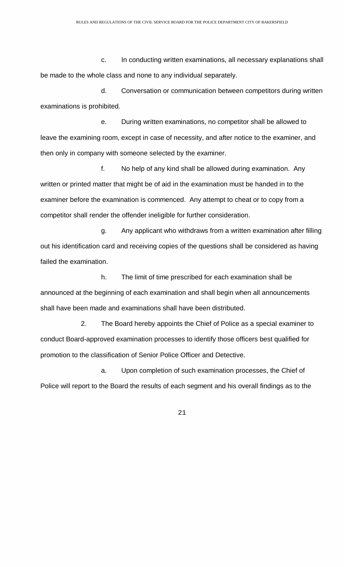c. In conducting written examinations, all necessary explanations shall be made to the whole class and none to any individual separately.

 d. Conversation or communication between competitors during written examinations is prohibited.

 e. During written examinations, no competitor shall be allowed to leave the examining room, except in case of necessity, and after notice to the examiner, and then only in company with someone selected by the examiner.

 f. No help of any kind shall be allowed during examination. Any written or printed matter that might be of aid in the examination must be handed in to the examiner before the examination is commenced. Any attempt to cheat or to copy from a competitor shall render the offender ineligible for further consideration.

 g. Any applicant who withdraws from a written examination after filling out his identification card and receiving copies of the questions shall be considered as having failed the examination.

 h. The limit of time prescribed for each examination shall be announced at the beginning of each examination and shall begin when all announcements shall have been made and examinations shall have been distributed.

 2. The Board hereby appoints the Chief of Police as a special examiner to conduct Board-approved examination processes to identify those officers best qualified for promotion to the classification of Senior Police Officer and Detective.

 a. Upon completion of such examination processes, the Chief of Police will report to the Board the results of each segment and his overall findings as to the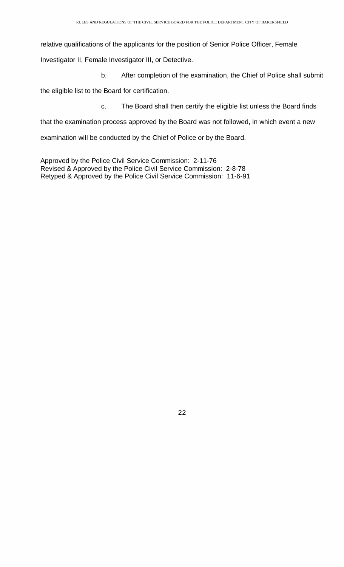relative qualifications of the applicants for the position of Senior Police Officer, Female

Investigator II, Female Investigator III, or Detective.

b. After completion of the examination, the Chief of Police shall submit

the eligible list to the Board for certification.

c. The Board shall then certify the eligible list unless the Board finds

that the examination process approved by the Board was not followed, in which event a new

examination will be conducted by the Chief of Police or by the Board.

Approved by the Police Civil Service Commission: 2-11-76 Revised & Approved by the Police Civil Service Commission: 2-8-78 Retyped & Approved by the Police Civil Service Commission: 11-6-91

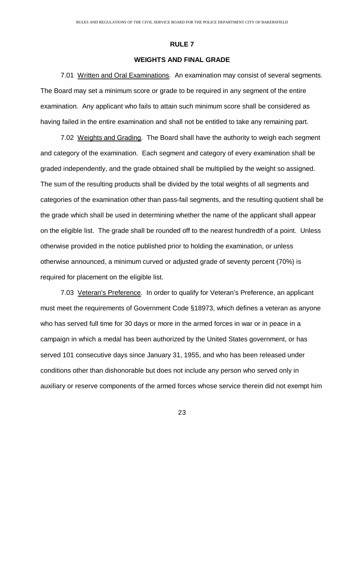# **WEIGHTS AND FINAL GRADE**

<span id="page-23-0"></span> 7.01 Written and Oral Examinations. An examination may consist of several segments. The Board may set a minimum score or grade to be required in any segment of the entire examination. Any applicant who fails to attain such minimum score shall be considered as having failed in the entire examination and shall not be entitled to take any remaining part.

7.02 Weights and Grading. The Board shall have the authority to weigh each segment and category of the examination. Each segment and category of every examination shall be graded independently, and the grade obtained shall be multiplied by the weight so assigned. The sum of the resulting products shall be divided by the total weights of all segments and categories of the examination other than pass-fail segments, and the resulting quotient shall be the grade which shall be used in determining whether the name of the applicant shall appear on the eligible list. The grade shall be rounded off to the nearest hundredth of a point. Unless otherwise provided in the notice published prior to holding the examination, or unless otherwise announced, a minimum curved or adjusted grade of seventy percent (70%) is required for placement on the eligible list.

7.03 Veteran's Preference. In order to qualify for Veteran's Preference, an applicant must meet the requirements of Government Code §18973, which defines a veteran as anyone who has served full time for 30 days or more in the armed forces in war or in peace in a campaign in which a medal has been authorized by the United States government, or has served 101 consecutive days since January 31, 1955, and who has been released under conditions other than dishonorable but does not include any person who served only in auxiliary or reserve components of the armed forces whose service therein did not exempt him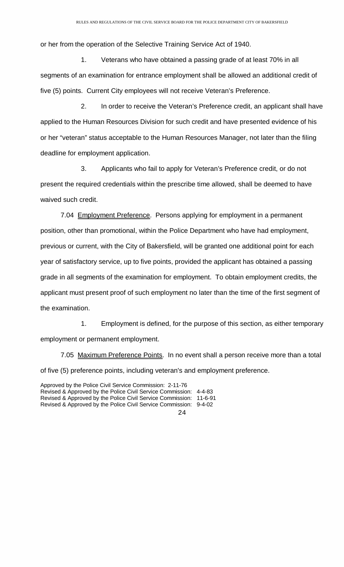or her from the operation of the Selective Training Service Act of 1940.

 1. Veterans who have obtained a passing grade of at least 70% in all segments of an examination for entrance employment shall be allowed an additional credit of five (5) points. Current City employees will not receive Veteran's Preference.

 2. In order to receive the Veteran's Preference credit, an applicant shall have applied to the Human Resources Division for such credit and have presented evidence of his or her "veteran" status acceptable to the Human Resources Manager, not later than the filing deadline for employment application.

 3. Applicants who fail to apply for Veteran's Preference credit, or do not present the required credentials within the prescribe time allowed, shall be deemed to have waived such credit.

7.04 Employment Preference. Persons applying for employment in a permanent position, other than promotional, within the Police Department who have had employment, previous or current, with the City of Bakersfield, will be granted one additional point for each year of satisfactory service, up to five points, provided the applicant has obtained a passing grade in all segments of the examination for employment. To obtain employment credits, the applicant must present proof of such employment no later than the time of the first segment of the examination.

 1. Employment is defined, for the purpose of this section, as either temporary employment or permanent employment.

7.05 Maximum Preference Points. In no event shall a person receive more than a total of five (5) preference points, including veteran's and employment preference.

24 Approved by the Police Civil Service Commission: 2-11-76 Revised & Approved by the Police Civil Service Commission: 4-4-83 Revised & Approved by the Police Civil Service Commission: 11-6-91 Revised & Approved by the Police Civil Service Commission: 9-4-02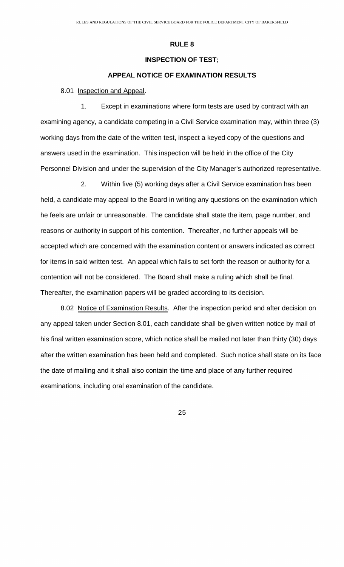# **INSPECTION OF TEST;**

### **APPEAL NOTICE OF EXAMINATION RESULTS**

### <span id="page-25-0"></span>8.01 Inspection and Appeal.

 1. Except in examinations where form tests are used by contract with an examining agency, a candidate competing in a Civil Service examination may, within three (3) working days from the date of the written test, inspect a keyed copy of the questions and answers used in the examination. This inspection will be held in the office of the City Personnel Division and under the supervision of the City Manager's authorized representative.

 2. Within five (5) working days after a Civil Service examination has been held, a candidate may appeal to the Board in writing any questions on the examination which he feels are unfair or unreasonable. The candidate shall state the item, page number, and reasons or authority in support of his contention. Thereafter, no further appeals will be accepted which are concerned with the examination content or answers indicated as correct for items in said written test. An appeal which fails to set forth the reason or authority for a contention will not be considered. The Board shall make a ruling which shall be final. Thereafter, the examination papers will be graded according to its decision.

8.02 Notice of Examination Results. After the inspection period and after decision on any appeal taken under Section 8.01, each candidate shall be given written notice by mail of his final written examination score, which notice shall be mailed not later than thirty (30) days after the written examination has been held and completed. Such notice shall state on its face the date of mailing and it shall also contain the time and place of any further required examinations, including oral examination of the candidate.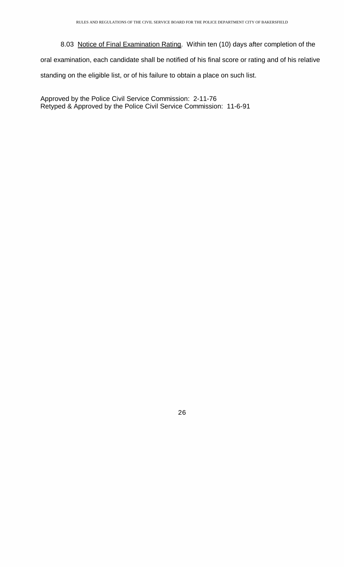<span id="page-26-0"></span> 8.03 Notice of Final Examination Rating. Within ten (10) days after completion of the oral examination, each candidate shall be notified of his final score or rating and of his relative standing on the eligible list, or of his failure to obtain a place on such list.

Approved by the Police Civil Service Commission: 2-11-76 Retyped & Approved by the Police Civil Service Commission: 11-6-91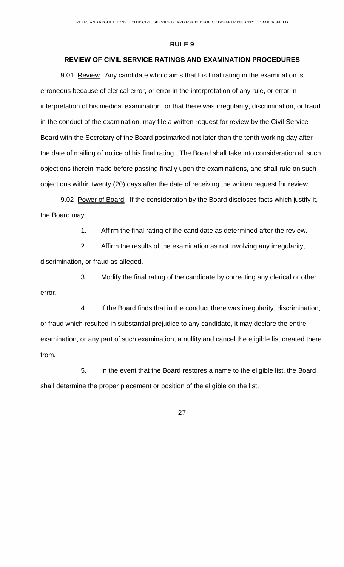# **REVIEW OF CIVIL SERVICE RATINGS AND EXAMINATION PROCEDURES**

9.01 Review. Any candidate who claims that his final rating in the examination is erroneous because of clerical error, or error in the interpretation of any rule, or error in interpretation of his medical examination, or that there was irregularity, discrimination, or fraud in the conduct of the examination, may file a written request for review by the Civil Service Board with the Secretary of the Board postmarked not later than the tenth working day after the date of mailing of notice of his final rating. The Board shall take into consideration all such objections therein made before passing finally upon the examinations, and shall rule on such objections within twenty (20) days after the date of receiving the written request for review.

9.02 Power of Board. If the consideration by the Board discloses facts which justify it, the Board may:

1. Affirm the final rating of the candidate as determined after the review.

 2. Affirm the results of the examination as not involving any irregularity, discrimination, or fraud as alleged.

 3. Modify the final rating of the candidate by correcting any clerical or other error.

 4. If the Board finds that in the conduct there was irregularity, discrimination, or fraud which resulted in substantial prejudice to any candidate, it may declare the entire examination, or any part of such examination, a nullity and cancel the eligible list created there from.

 5. In the event that the Board restores a name to the eligible list, the Board shall determine the proper placement or position of the eligible on the list.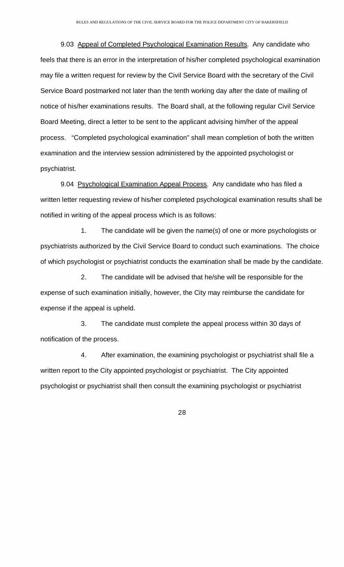9.03 Appeal of Completed Psychological Examination Results. Any candidate who feels that there is an error in the interpretation of his/her completed psychological examination may file a written request for review by the Civil Service Board with the secretary of the Civil Service Board postmarked not later than the tenth working day after the date of mailing of notice of his/her examinations results. The Board shall, at the following regular Civil Service Board Meeting, direct a letter to be sent to the applicant advising him/her of the appeal process. "Completed psychological examination" shall mean completion of both the written examination and the interview session administered by the appointed psychologist or psychiatrist.

9.04 Psychological Examination Appeal Process. Any candidate who has filed a written letter requesting review of his/her completed psychological examination results shall be notified in writing of the appeal process which is as follows:

 1. The candidate will be given the name(s) of one or more psychologists or psychiatrists authorized by the Civil Service Board to conduct such examinations. The choice of which psychologist or psychiatrist conducts the examination shall be made by the candidate.

 2. The candidate will be advised that he/she will be responsible for the expense of such examination initially, however, the City may reimburse the candidate for expense if the appeal is upheld.

 3. The candidate must complete the appeal process within 30 days of notification of the process.

 4. After examination, the examining psychologist or psychiatrist shall file a written report to the City appointed psychologist or psychiatrist. The City appointed psychologist or psychiatrist shall then consult the examining psychologist or psychiatrist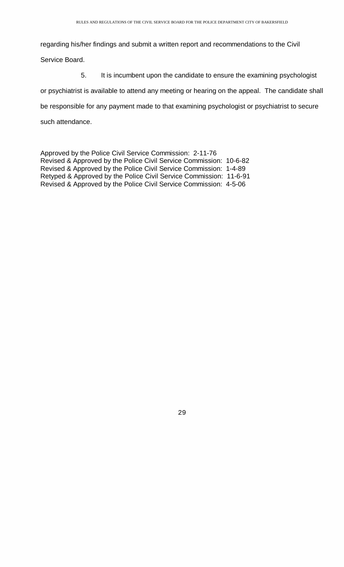regarding his/her findings and submit a written report and recommendations to the Civil

Service Board.

5. It is incumbent upon the candidate to ensure the examining psychologist

or psychiatrist is available to attend any meeting or hearing on the appeal. The candidate shall

be responsible for any payment made to that examining psychologist or psychiatrist to secure

such attendance.

Approved by the Police Civil Service Commission: 2-11-76 Revised & Approved by the Police Civil Service Commission: 10-6-82 Revised & Approved by the Police Civil Service Commission: 1-4-89 Retyped & Approved by the Police Civil Service Commission: 11-6-91 Revised & Approved by the Police Civil Service Commission: 4-5-06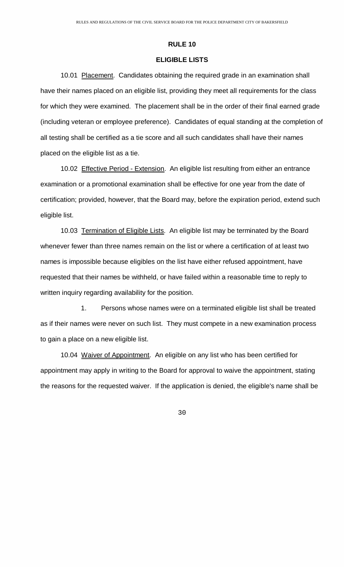### **ELIGIBLE LISTS**

<span id="page-30-0"></span>10.01 Placement. Candidates obtaining the required grade in an examination shall have their names placed on an eligible list, providing they meet all requirements for the class for which they were examined. The placement shall be in the order of their final earned grade (including veteran or employee preference). Candidates of equal standing at the completion of all testing shall be certified as a tie score and all such candidates shall have their names placed on the eligible list as a tie.

10.02 Effective Period - Extension. An eligible list resulting from either an entrance examination or a promotional examination shall be effective for one year from the date of certification; provided, however, that the Board may, before the expiration period, extend such eligible list.

 10.03 Termination of Eligible Lists. An eligible list may be terminated by the Board whenever fewer than three names remain on the list or where a certification of at least two names is impossible because eligibles on the list have either refused appointment, have requested that their names be withheld, or have failed within a reasonable time to reply to written inquiry regarding availability for the position.

 1. Persons whose names were on a terminated eligible list shall be treated as if their names were never on such list. They must compete in a new examination process to gain a place on a new eligible list.

10.04 Waiver of Appointment. An eligible on any list who has been certified for appointment may apply in writing to the Board for approval to waive the appointment, stating the reasons for the requested waiver. If the application is denied, the eligible's name shall be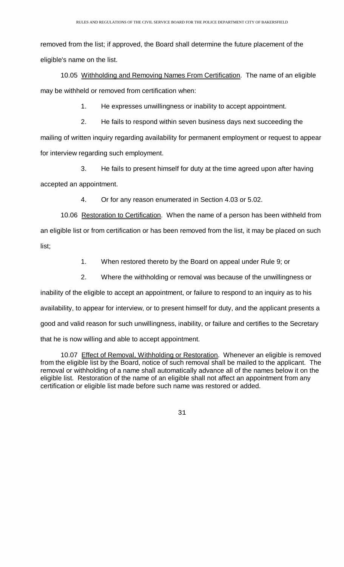removed from the list; if approved, the Board shall determine the future placement of the eligible's name on the list.

 10.05 Withholding and Removing Names From Certification. The name of an eligible may be withheld or removed from certification when:

1. He expresses unwillingness or inability to accept appointment.

 2. He fails to respond within seven business days next succeeding the mailing of written inquiry regarding availability for permanent employment or request to appear for interview regarding such employment.

 3. He fails to present himself for duty at the time agreed upon after having accepted an appointment.

4. Or for any reason enumerated in Section 4.03 or 5.02.

 10.06 Restoration to Certification. When the name of a person has been withheld from an eligible list or from certification or has been removed from the list, it may be placed on such list;

1. When restored thereto by the Board on appeal under Rule 9; or

2. Where the withholding or removal was because of the unwillingness or

inability of the eligible to accept an appointment, or failure to respond to an inquiry as to his availability, to appear for interview, or to present himself for duty, and the applicant presents a good and valid reason for such unwillingness, inability, or failure and certifies to the Secretary that he is now willing and able to accept appointment.

 10.07 Effect of Removal, Withholding or Restoration. Whenever an eligible is removed from the eligible list by the Board, notice of such removal shall be mailed to the applicant. The removal or withholding of a name shall automatically advance all of the names below it on the eligible list. Restoration of the name of an eligible shall not affect an appointment from any certification or eligible list made before such name was restored or added.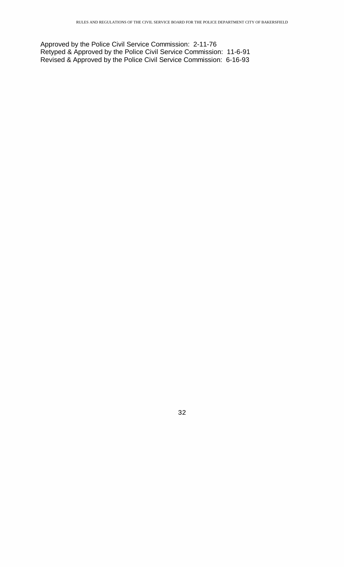Approved by the Police Civil Service Commission: 2-11-76 Retyped & Approved by the Police Civil Service Commission: 11-6-91 Revised & Approved by the Police Civil Service Commission: 6-16-93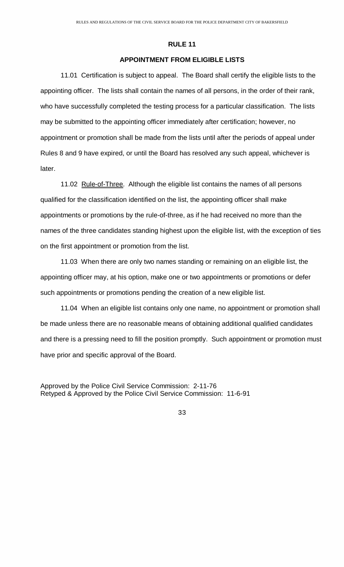# **APPOINTMENT FROM ELIGIBLE LISTS**

<span id="page-33-0"></span>11.01 Certification is subject to appeal. The Board shall certify the eligible lists to the appointing officer. The lists shall contain the names of all persons, in the order of their rank, who have successfully completed the testing process for a particular classification. The lists may be submitted to the appointing officer immediately after certification; however, no appointment or promotion shall be made from the lists until after the periods of appeal under Rules 8 and 9 have expired, or until the Board has resolved any such appeal, whichever is later.

11.02 Rule-of-Three. Although the eligible list contains the names of all persons qualified for the classification identified on the list, the appointing officer shall make appointments or promotions by the rule-of-three, as if he had received no more than the names of the three candidates standing highest upon the eligible list, with the exception of ties on the first appointment or promotion from the list.

11.03 When there are only two names standing or remaining on an eligible list, the appointing officer may, at his option, make one or two appointments or promotions or defer such appointments or promotions pending the creation of a new eligible list.

11.04 When an eligible list contains only one name, no appointment or promotion shall be made unless there are no reasonable means of obtaining additional qualified candidates and there is a pressing need to fill the position promptly. Such appointment or promotion must have prior and specific approval of the Board.

Approved by the Police Civil Service Commission: 2-11-76 Retyped & Approved by the Police Civil Service Commission: 11-6-91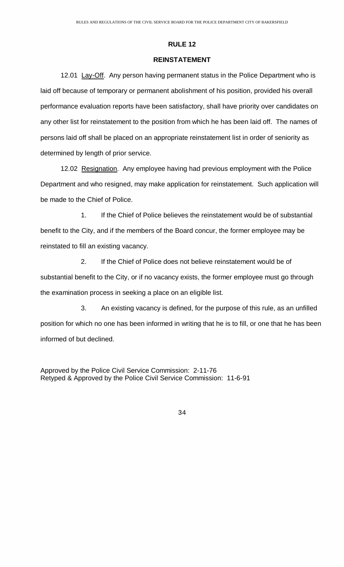### **REINSTATEMENT**

<span id="page-34-0"></span>12.01 Lay-Off. Any person having permanent status in the Police Department who is laid off because of temporary or permanent abolishment of his position, provided his overall performance evaluation reports have been satisfactory, shall have priority over candidates on any other list for reinstatement to the position from which he has been laid off. The names of persons laid off shall be placed on an appropriate reinstatement list in order of seniority as determined by length of prior service.

 12.02 Resignation. Any employee having had previous employment with the Police Department and who resigned, may make application for reinstatement. Such application will be made to the Chief of Police.

 1. If the Chief of Police believes the reinstatement would be of substantial benefit to the City, and if the members of the Board concur, the former employee may be reinstated to fill an existing vacancy.

 2. If the Chief of Police does not believe reinstatement would be of substantial benefit to the City, or if no vacancy exists, the former employee must go through the examination process in seeking a place on an eligible list.

 3. An existing vacancy is defined, for the purpose of this rule, as an unfilled position for which no one has been informed in writing that he is to fill, or one that he has been informed of but declined.

Approved by the Police Civil Service Commission: 2-11-76 Retyped & Approved by the Police Civil Service Commission: 11-6-91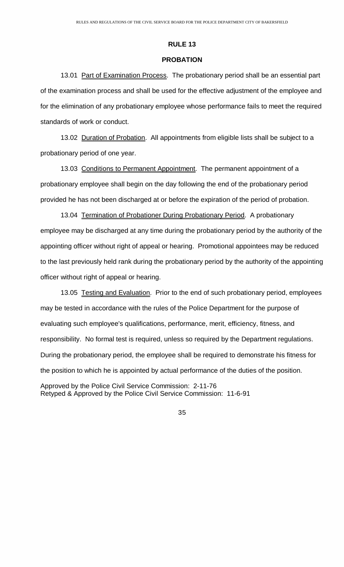### **PROBATION**

<span id="page-35-0"></span>13.01 Part of Examination Process. The probationary period shall be an essential part of the examination process and shall be used for the effective adjustment of the employee and for the elimination of any probationary employee whose performance fails to meet the required standards of work or conduct.

13.02 Duration of Probation. All appointments from eligible lists shall be subject to a probationary period of one year.

13.03 Conditions to Permanent Appointment. The permanent appointment of a probationary employee shall begin on the day following the end of the probationary period provided he has not been discharged at or before the expiration of the period of probation.

13.04 Termination of Probationer During Probationary Period. A probationary employee may be discharged at any time during the probationary period by the authority of the appointing officer without right of appeal or hearing. Promotional appointees may be reduced to the last previously held rank during the probationary period by the authority of the appointing officer without right of appeal or hearing.

13.05 Testing and Evaluation. Prior to the end of such probationary period, employees may be tested in accordance with the rules of the Police Department for the purpose of evaluating such employee's qualifications, performance, merit, efficiency, fitness, and responsibility. No formal test is required, unless so required by the Department regulations. During the probationary period, the employee shall be required to demonstrate his fitness for the position to which he is appointed by actual performance of the duties of the position.

Approved by the Police Civil Service Commission: 2-11-76 Retyped & Approved by the Police Civil Service Commission: 11-6-91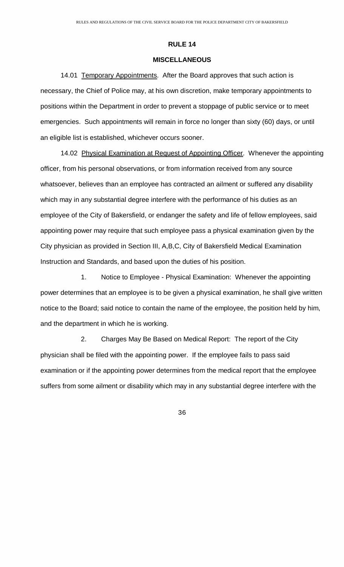#### **MISCELLANEOUS**

<span id="page-36-0"></span>14.01 Temporary Appointments. After the Board approves that such action is necessary, the Chief of Police may, at his own discretion, make temporary appointments to positions within the Department in order to prevent a stoppage of public service or to meet emergencies. Such appointments will remain in force no longer than sixty (60) days, or until an eligible list is established, whichever occurs sooner.

14.02 Physical Examination at Request of Appointing Officer. Whenever the appointing officer, from his personal observations, or from information received from any source whatsoever, believes than an employee has contracted an ailment or suffered any disability which may in any substantial degree interfere with the performance of his duties as an employee of the City of Bakersfield, or endanger the safety and life of fellow employees, said appointing power may require that such employee pass a physical examination given by the City physician as provided in Section III, A,B,C, City of Bakersfield Medical Examination Instruction and Standards, and based upon the duties of his position.

 1. Notice to Employee - Physical Examination: Whenever the appointing power determines that an employee is to be given a physical examination, he shall give written notice to the Board; said notice to contain the name of the employee, the position held by him, and the department in which he is working.

 2. Charges May Be Based on Medical Report: The report of the City physician shall be filed with the appointing power. If the employee fails to pass said examination or if the appointing power determines from the medical report that the employee suffers from some ailment or disability which may in any substantial degree interfere with the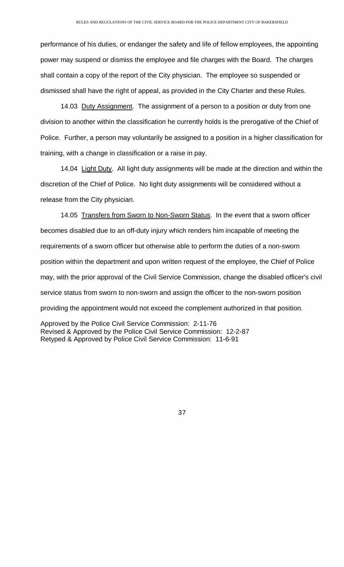performance of his duties, or endanger the safety and life of fellow employees, the appointing power may suspend or dismiss the employee and file charges with the Board. The charges shall contain a copy of the report of the City physician. The employee so suspended or dismissed shall have the right of appeal, as provided in the City Charter and these Rules.

14.03 Duty Assignment. The assignment of a person to a position or duty from one division to another within the classification he currently holds is the prerogative of the Chief of Police. Further, a person may voluntarily be assigned to a position in a higher classification for training, with a change in classification or a raise in pay.

14.04 Light Duty. All light duty assignments will be made at the direction and within the discretion of the Chief of Police. No light duty assignments will be considered without a release from the City physician.

14.05 Transfers from Sworn to Non-Sworn Status. In the event that a sworn officer becomes disabled due to an off-duty injury which renders him incapable of meeting the requirements of a sworn officer but otherwise able to perform the duties of a non-sworn position within the department and upon written request of the employee, the Chief of Police may, with the prior approval of the Civil Service Commission, change the disabled officer's civil service status from sworn to non-sworn and assign the officer to the non-sworn position providing the appointment would not exceed the complement authorized in that position.

Approved by the Police Civil Service Commission: 2-11-76 Revised & Approved by the Police Civil Service Commission: 12-2-87 Retyped & Approved by Police Civil Service Commission: 11-6-91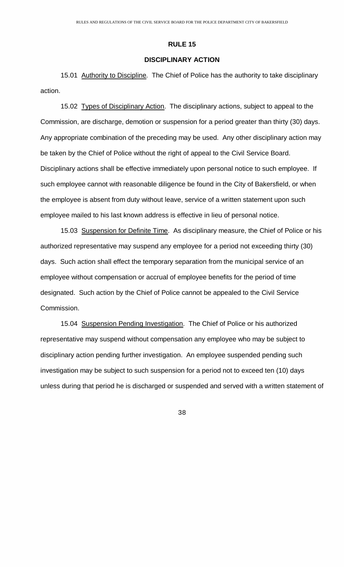# **DISCIPLINARY ACTION**

<span id="page-38-0"></span>15.01 Authority to Discipline. The Chief of Police has the authority to take disciplinary action.

 15.02 Types of Disciplinary Action. The disciplinary actions, subject to appeal to the Commission, are discharge, demotion or suspension for a period greater than thirty (30) days. Any appropriate combination of the preceding may be used. Any other disciplinary action may be taken by the Chief of Police without the right of appeal to the Civil Service Board. Disciplinary actions shall be effective immediately upon personal notice to such employee. If such employee cannot with reasonable diligence be found in the City of Bakersfield, or when the employee is absent from duty without leave, service of a written statement upon such employee mailed to his last known address is effective in lieu of personal notice.

15.03 Suspension for Definite Time. As disciplinary measure, the Chief of Police or his authorized representative may suspend any employee for a period not exceeding thirty (30) days. Such action shall effect the temporary separation from the municipal service of an employee without compensation or accrual of employee benefits for the period of time designated. Such action by the Chief of Police cannot be appealed to the Civil Service Commission.

 15.04 Suspension Pending Investigation. The Chief of Police or his authorized representative may suspend without compensation any employee who may be subject to disciplinary action pending further investigation. An employee suspended pending such investigation may be subject to such suspension for a period not to exceed ten (10) days unless during that period he is discharged or suspended and served with a written statement of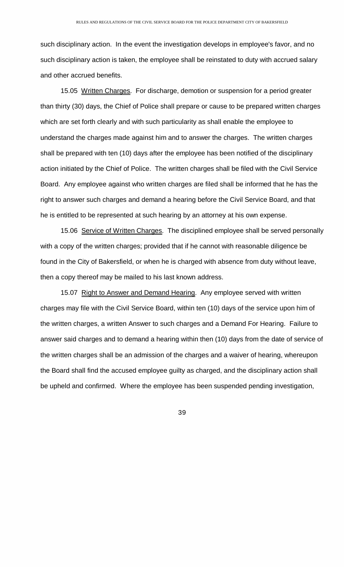such disciplinary action. In the event the investigation develops in employee's favor, and no such disciplinary action is taken, the employee shall be reinstated to duty with accrued salary and other accrued benefits.

 15.05 Written Charges. For discharge, demotion or suspension for a period greater than thirty (30) days, the Chief of Police shall prepare or cause to be prepared written charges which are set forth clearly and with such particularity as shall enable the employee to understand the charges made against him and to answer the charges. The written charges shall be prepared with ten (10) days after the employee has been notified of the disciplinary action initiated by the Chief of Police. The written charges shall be filed with the Civil Service Board. Any employee against who written charges are filed shall be informed that he has the right to answer such charges and demand a hearing before the Civil Service Board, and that he is entitled to be represented at such hearing by an attorney at his own expense.

15.06 Service of Written Charges. The disciplined employee shall be served personally with a copy of the written charges; provided that if he cannot with reasonable diligence be found in the City of Bakersfield, or when he is charged with absence from duty without leave, then a copy thereof may be mailed to his last known address.

15.07 Right to Answer and Demand Hearing. Any employee served with written charges may file with the Civil Service Board, within ten (10) days of the service upon him of the written charges, a written Answer to such charges and a Demand For Hearing. Failure to answer said charges and to demand a hearing within then (10) days from the date of service of the written charges shall be an admission of the charges and a waiver of hearing, whereupon the Board shall find the accused employee guilty as charged, and the disciplinary action shall be upheld and confirmed. Where the employee has been suspended pending investigation,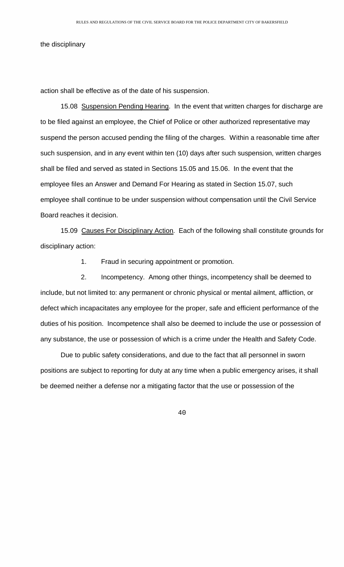the disciplinary

action shall be effective as of the date of his suspension.

15.08 Suspension Pending Hearing. In the event that written charges for discharge are to be filed against an employee, the Chief of Police or other authorized representative may suspend the person accused pending the filing of the charges. Within a reasonable time after such suspension, and in any event within ten (10) days after such suspension, written charges shall be filed and served as stated in Sections 15.05 and 15.06. In the event that the employee files an Answer and Demand For Hearing as stated in Section 15.07, such employee shall continue to be under suspension without compensation until the Civil Service Board reaches it decision.

 15.09 Causes For Disciplinary Action. Each of the following shall constitute grounds for disciplinary action:

1. Fraud in securing appointment or promotion.

 2. Incompetency. Among other things, incompetency shall be deemed to include, but not limited to: any permanent or chronic physical or mental ailment, affliction, or defect which incapacitates any employee for the proper, safe and efficient performance of the duties of his position. Incompetence shall also be deemed to include the use or possession of any substance, the use or possession of which is a crime under the Health and Safety Code.

Due to public safety considerations, and due to the fact that all personnel in sworn positions are subject to reporting for duty at any time when a public emergency arises, it shall be deemed neither a defense nor a mitigating factor that the use or possession of the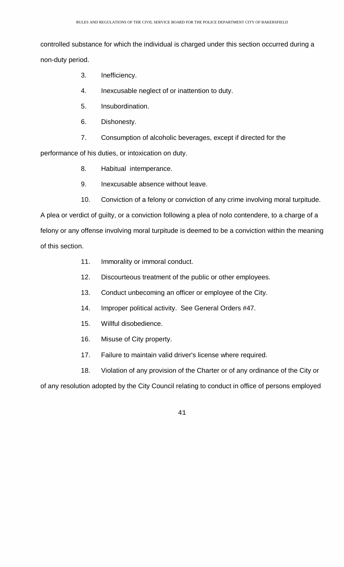controlled substance for which the individual is charged under this section occurred during a non-duty period.

- 3. Inefficiency.
- 4. Inexcusable neglect of or inattention to duty.
- 5. Insubordination.
- 6. Dishonesty.
- 7. Consumption of alcoholic beverages, except if directed for the

performance of his duties, or intoxication on duty.

- 8. Habitual intemperance.
- 9. Inexcusable absence without leave.
- 10. Conviction of a felony or conviction of any crime involving moral turpitude.

A plea or verdict of guilty, or a conviction following a plea of nolo contendere, to a charge of a felony or any offense involving moral turpitude is deemed to be a conviction within the meaning of this section.

- 11. Immorality or immoral conduct.
- 12. Discourteous treatment of the public or other employees.
- 13. Conduct unbecoming an officer or employee of the City.
- 14. Improper political activity. See General Orders #47.
- 15. Willful disobedience.
- 16. Misuse of City property.
- 17. Failure to maintain valid driver's license where required.

18. Violation of any provision of the Charter or of any ordinance of the City or

of any resolution adopted by the City Council relating to conduct in office of persons employed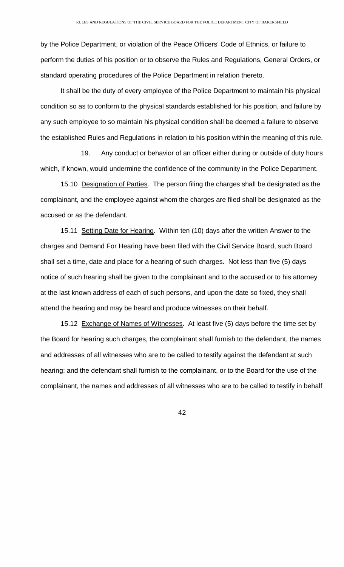by the Police Department, or violation of the Peace Officers' Code of Ethnics, or failure to perform the duties of his position or to observe the Rules and Regulations, General Orders, or standard operating procedures of the Police Department in relation thereto.

It shall be the duty of every employee of the Police Department to maintain his physical condition so as to conform to the physical standards established for his position, and failure by any such employee to so maintain his physical condition shall be deemed a failure to observe the established Rules and Regulations in relation to his position within the meaning of this rule.

 19. Any conduct or behavior of an officer either during or outside of duty hours which, if known, would undermine the confidence of the community in the Police Department.

15.10 Designation of Parties. The person filing the charges shall be designated as the complainant, and the employee against whom the charges are filed shall be designated as the accused or as the defendant.

15.11 Setting Date for Hearing. Within ten (10) days after the written Answer to the charges and Demand For Hearing have been filed with the Civil Service Board, such Board shall set a time, date and place for a hearing of such charges. Not less than five (5) days notice of such hearing shall be given to the complainant and to the accused or to his attorney at the last known address of each of such persons, and upon the date so fixed, they shall attend the hearing and may be heard and produce witnesses on their behalf.

15.12 Exchange of Names of Witnesses. At least five (5) days before the time set by the Board for hearing such charges, the complainant shall furnish to the defendant, the names and addresses of all witnesses who are to be called to testify against the defendant at such hearing; and the defendant shall furnish to the complainant, or to the Board for the use of the complainant, the names and addresses of all witnesses who are to be called to testify in behalf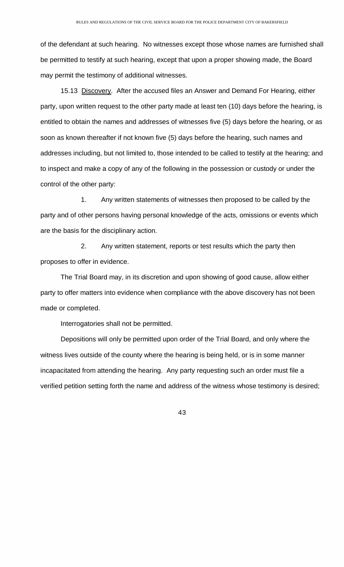of the defendant at such hearing. No witnesses except those whose names are furnished shall be permitted to testify at such hearing, except that upon a proper showing made, the Board may permit the testimony of additional witnesses.

 15.13 Discovery. After the accused files an Answer and Demand For Hearing, either party, upon written request to the other party made at least ten (10) days before the hearing, is entitled to obtain the names and addresses of witnesses five (5) days before the hearing, or as soon as known thereafter if not known five (5) days before the hearing, such names and addresses including, but not limited to, those intended to be called to testify at the hearing; and to inspect and make a copy of any of the following in the possession or custody or under the control of the other party:

 1. Any written statements of witnesses then proposed to be called by the party and of other persons having personal knowledge of the acts, omissions or events which are the basis for the disciplinary action.

 2. Any written statement, reports or test results which the party then proposes to offer in evidence.

The Trial Board may, in its discretion and upon showing of good cause, allow either party to offer matters into evidence when compliance with the above discovery has not been made or completed.

Interrogatories shall not be permitted.

Depositions will only be permitted upon order of the Trial Board, and only where the witness lives outside of the county where the hearing is being held, or is in some manner incapacitated from attending the hearing. Any party requesting such an order must file a verified petition setting forth the name and address of the witness whose testimony is desired;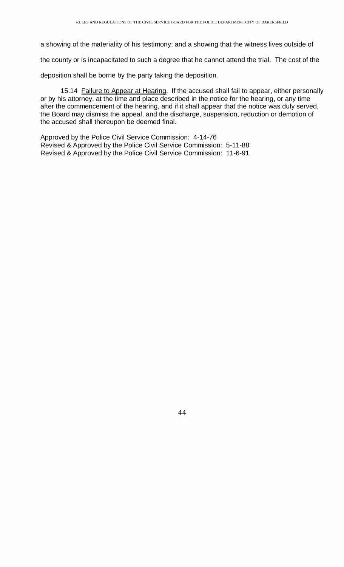a showing of the materiality of his testimony; and a showing that the witness lives outside of

the county or is incapacitated to such a degree that he cannot attend the trial. The cost of the

deposition shall be borne by the party taking the deposition.

15.14 Failure to Appear at Hearing. If the accused shall fail to appear, either personally or by his attorney, at the time and place described in the notice for the hearing, or any time after the commencement of the hearing, and if it shall appear that the notice was duly served, the Board may dismiss the appeal, and the discharge, suspension, reduction or demotion of the accused shall thereupon be deemed final.

Approved by the Police Civil Service Commission: 4-14-76 Revised & Approved by the Police Civil Service Commission: 5-11-88 Revised & Approved by the Police Civil Service Commission: 11-6-91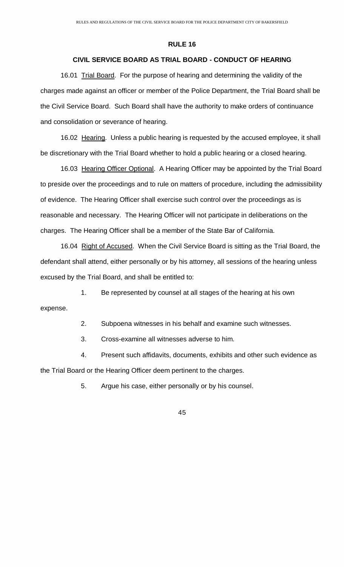# **CIVIL SERVICE BOARD AS TRIAL BOARD - CONDUCT OF HEARING**

<span id="page-45-0"></span> 16.01 Trial Board. For the purpose of hearing and determining the validity of the charges made against an officer or member of the Police Department, the Trial Board shall be the Civil Service Board. Such Board shall have the authority to make orders of continuance and consolidation or severance of hearing.

16.02 Hearing. Unless a public hearing is requested by the accused employee, it shall be discretionary with the Trial Board whether to hold a public hearing or a closed hearing.

16.03 Hearing Officer Optional. A Hearing Officer may be appointed by the Trial Board to preside over the proceedings and to rule on matters of procedure, including the admissibility of evidence. The Hearing Officer shall exercise such control over the proceedings as is reasonable and necessary. The Hearing Officer will not participate in deliberations on the charges. The Hearing Officer shall be a member of the State Bar of California.

16.04 Right of Accused. When the Civil Service Board is sitting as the Trial Board, the defendant shall attend, either personally or by his attorney, all sessions of the hearing unless excused by the Trial Board, and shall be entitled to:

 1. Be represented by counsel at all stages of the hearing at his own expense.

2. Subpoena witnesses in his behalf and examine such witnesses.

3. Cross-examine all witnesses adverse to him.

 4. Present such affidavits, documents, exhibits and other such evidence as the Trial Board or the Hearing Officer deem pertinent to the charges.

5. Argue his case, either personally or by his counsel.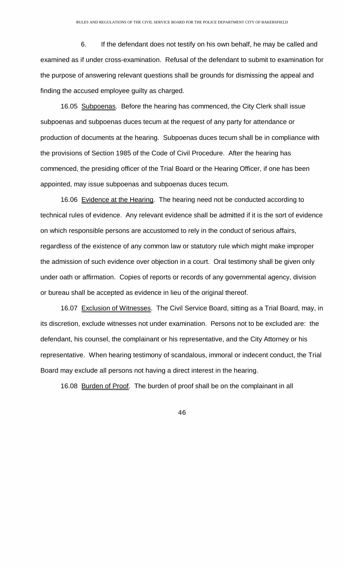6. If the defendant does not testify on his own behalf, he may be called and examined as if under cross-examination. Refusal of the defendant to submit to examination for the purpose of answering relevant questions shall be grounds for dismissing the appeal and finding the accused employee guilty as charged.

 16.05 Subpoenas. Before the hearing has commenced, the City Clerk shall issue subpoenas and subpoenas duces tecum at the request of any party for attendance or production of documents at the hearing. Subpoenas duces tecum shall be in compliance with the provisions of Section 1985 of the Code of Civil Procedure. After the hearing has commenced, the presiding officer of the Trial Board or the Hearing Officer, if one has been appointed, may issue subpoenas and subpoenas duces tecum.

 16.06 Evidence at the Hearing. The hearing need not be conducted according to technical rules of evidence. Any relevant evidence shall be admitted if it is the sort of evidence on which responsible persons are accustomed to rely in the conduct of serious affairs, regardless of the existence of any common law or statutory rule which might make improper the admission of such evidence over objection in a court. Oral testimony shall be given only under oath or affirmation. Copies of reports or records of any governmental agency, division or bureau shall be accepted as evidence in lieu of the original thereof.

16.07 Exclusion of Witnesses. The Civil Service Board, sitting as a Trial Board, may, in its discretion, exclude witnesses not under examination. Persons not to be excluded are: the defendant, his counsel, the complainant or his representative, and the City Attorney or his representative. When hearing testimony of scandalous, immoral or indecent conduct, the Trial Board may exclude all persons not having a direct interest in the hearing.

16.08 Burden of Proof. The burden of proof shall be on the complainant in all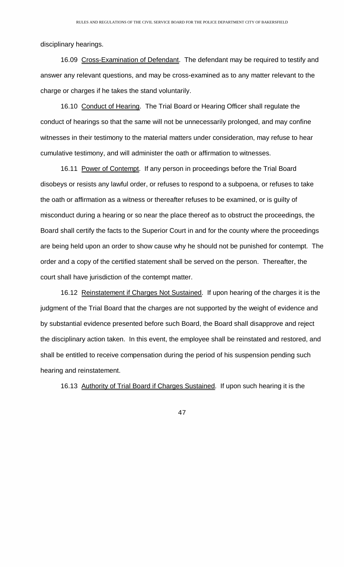disciplinary hearings.

16.09 Cross-Examination of Defendant. The defendant may be required to testify and answer any relevant questions, and may be cross-examined as to any matter relevant to the charge or charges if he takes the stand voluntarily.

16.10 Conduct of Hearing. The Trial Board or Hearing Officer shall regulate the conduct of hearings so that the same will not be unnecessarily prolonged, and may confine witnesses in their testimony to the material matters under consideration, may refuse to hear cumulative testimony, and will administer the oath or affirmation to witnesses.

16.11 Power of Contempt. If any person in proceedings before the Trial Board disobeys or resists any lawful order, or refuses to respond to a subpoena, or refuses to take the oath or affirmation as a witness or thereafter refuses to be examined, or is guilty of misconduct during a hearing or so near the place thereof as to obstruct the proceedings, the Board shall certify the facts to the Superior Court in and for the county where the proceedings are being held upon an order to show cause why he should not be punished for contempt. The order and a copy of the certified statement shall be served on the person. Thereafter, the court shall have jurisdiction of the contempt matter.

16.12 Reinstatement if Charges Not Sustained. If upon hearing of the charges it is the judgment of the Trial Board that the charges are not supported by the weight of evidence and by substantial evidence presented before such Board, the Board shall disapprove and reject the disciplinary action taken. In this event, the employee shall be reinstated and restored, and shall be entitled to receive compensation during the period of his suspension pending such hearing and reinstatement.

16.13 Authority of Trial Board if Charges Sustained. If upon such hearing it is the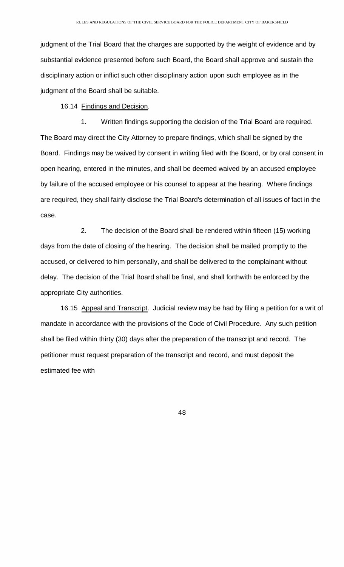judgment of the Trial Board that the charges are supported by the weight of evidence and by substantial evidence presented before such Board, the Board shall approve and sustain the disciplinary action or inflict such other disciplinary action upon such employee as in the judgment of the Board shall be suitable.

16.14 Findings and Decision.

 1. Written findings supporting the decision of the Trial Board are required. The Board may direct the City Attorney to prepare findings, which shall be signed by the Board. Findings may be waived by consent in writing filed with the Board, or by oral consent in open hearing, entered in the minutes, and shall be deemed waived by an accused employee by failure of the accused employee or his counsel to appear at the hearing. Where findings are required, they shall fairly disclose the Trial Board's determination of all issues of fact in the case.

 2. The decision of the Board shall be rendered within fifteen (15) working days from the date of closing of the hearing. The decision shall be mailed promptly to the accused, or delivered to him personally, and shall be delivered to the complainant without delay. The decision of the Trial Board shall be final, and shall forthwith be enforced by the appropriate City authorities.

16.15 Appeal and Transcript. Judicial review may be had by filing a petition for a writ of mandate in accordance with the provisions of the Code of Civil Procedure. Any such petition shall be filed within thirty (30) days after the preparation of the transcript and record. The petitioner must request preparation of the transcript and record, and must deposit the estimated fee with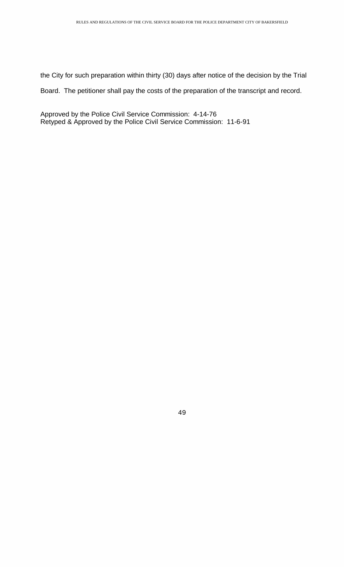the City for such preparation within thirty (30) days after notice of the decision by the Trial

Board. The petitioner shall pay the costs of the preparation of the transcript and record.

Approved by the Police Civil Service Commission: 4-14-76 Retyped & Approved by the Police Civil Service Commission: 11-6-91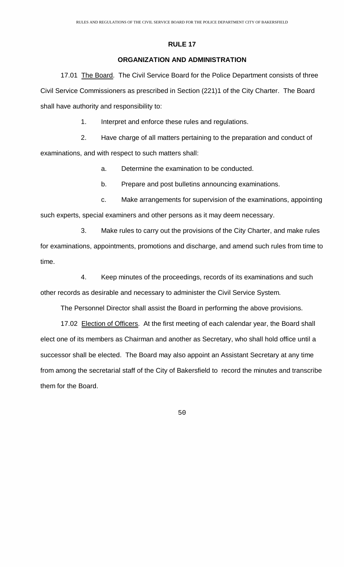### **ORGANIZATION AND ADMINISTRATION**

<span id="page-50-0"></span> 17.01 The Board. The Civil Service Board for the Police Department consists of three Civil Service Commissioners as prescribed in Section (221)1 of the City Charter. The Board shall have authority and responsibility to:

1. Interpret and enforce these rules and regulations.

 2. Have charge of all matters pertaining to the preparation and conduct of examinations, and with respect to such matters shall:

a. Determine the examination to be conducted.

b. Prepare and post bulletins announcing examinations.

 c. Make arrangements for supervision of the examinations, appointing such experts, special examiners and other persons as it may deem necessary.

 3. Make rules to carry out the provisions of the City Charter, and make rules for examinations, appointments, promotions and discharge, and amend such rules from time to time.

 4. Keep minutes of the proceedings, records of its examinations and such other records as desirable and necessary to administer the Civil Service System.

The Personnel Director shall assist the Board in performing the above provisions.

17.02 Election of Officers. At the first meeting of each calendar year, the Board shall elect one of its members as Chairman and another as Secretary, who shall hold office until a successor shall be elected. The Board may also appoint an Assistant Secretary at any time from among the secretarial staff of the City of Bakersfield to record the minutes and transcribe them for the Board.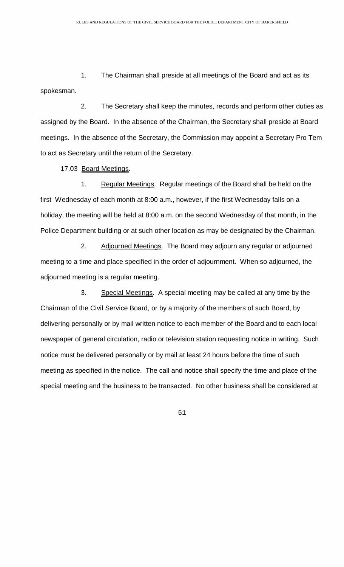1. The Chairman shall preside at all meetings of the Board and act as its spokesman.

 2. The Secretary shall keep the minutes, records and perform other duties as assigned by the Board. In the absence of the Chairman, the Secretary shall preside at Board meetings. In the absence of the Secretary, the Commission may appoint a Secretary Pro Tem to act as Secretary until the return of the Secretary.

17.03 Board Meetings.

1. Regular Meetings. Regular meetings of the Board shall be held on the first Wednesday of each month at 8:00 a.m., however, if the first Wednesday falls on a holiday, the meeting will be held at 8:00 a.m. on the second Wednesday of that month, in the Police Department building or at such other location as may be designated by the Chairman.

2. Adjourned Meetings. The Board may adjourn any regular or adjourned meeting to a time and place specified in the order of adjournment. When so adjourned, the adjourned meeting is a regular meeting.

3. Special Meetings. A special meeting may be called at any time by the Chairman of the Civil Service Board, or by a majority of the members of such Board, by delivering personally or by mail written notice to each member of the Board and to each local newspaper of general circulation, radio or television station requesting notice in writing. Such notice must be delivered personally or by mail at least 24 hours before the time of such meeting as specified in the notice. The call and notice shall specify the time and place of the special meeting and the business to be transacted. No other business shall be considered at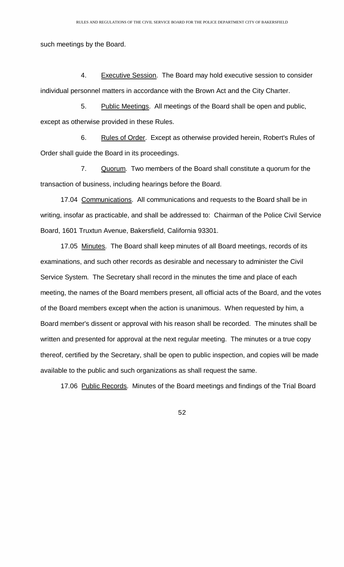such meetings by the Board.

4. Executive Session. The Board may hold executive session to consider individual personnel matters in accordance with the Brown Act and the City Charter.

5. Public Meetings. All meetings of the Board shall be open and public, except as otherwise provided in these Rules.

6. Rules of Order. Except as otherwise provided herein, Robert's Rules of Order shall guide the Board in its proceedings.

7. Quorum. Two members of the Board shall constitute a quorum for the transaction of business, including hearings before the Board.

17.04 Communications. All communications and requests to the Board shall be in writing, insofar as practicable, and shall be addressed to: Chairman of the Police Civil Service Board, 1601 Truxtun Avenue, Bakersfield, California 93301.

17.05 Minutes. The Board shall keep minutes of all Board meetings, records of its examinations, and such other records as desirable and necessary to administer the Civil Service System. The Secretary shall record in the minutes the time and place of each meeting, the names of the Board members present, all official acts of the Board, and the votes of the Board members except when the action is unanimous. When requested by him, a Board member's dissent or approval with his reason shall be recorded. The minutes shall be written and presented for approval at the next regular meeting. The minutes or a true copy thereof, certified by the Secretary, shall be open to public inspection, and copies will be made available to the public and such organizations as shall request the same.

17.06 Public Records. Minutes of the Board meetings and findings of the Trial Board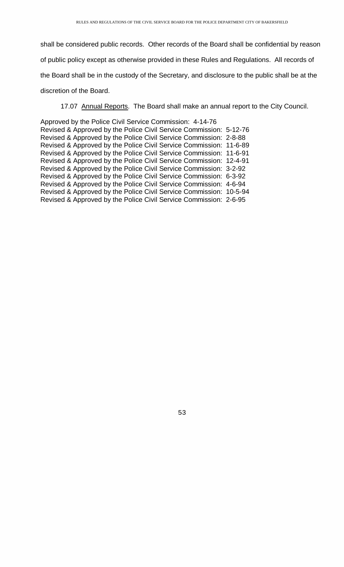shall be considered public records. Other records of the Board shall be confidential by reason of public policy except as otherwise provided in these Rules and Regulations. All records of the Board shall be in the custody of the Secretary, and disclosure to the public shall be at the discretion of the Board.

17.07 Annual Reports. The Board shall make an annual report to the City Council.

Approved by the Police Civil Service Commission: 4-14-76 Revised & Approved by the Police Civil Service Commission: 5-12-76 Revised & Approved by the Police Civil Service Commission: 2-8-88 Revised & Approved by the Police Civil Service Commission: 11-6-89 Revised & Approved by the Police Civil Service Commission: 11-6-91 Revised & Approved by the Police Civil Service Commission: 12-4-91 Revised & Approved by the Police Civil Service Commission: 3-2-92 Revised & Approved by the Police Civil Service Commission: 6-3-92 Revised & Approved by the Police Civil Service Commission: 4-6-94 Revised & Approved by the Police Civil Service Commission: 10-5-94 Revised & Approved by the Police Civil Service Commission: 2-6-95